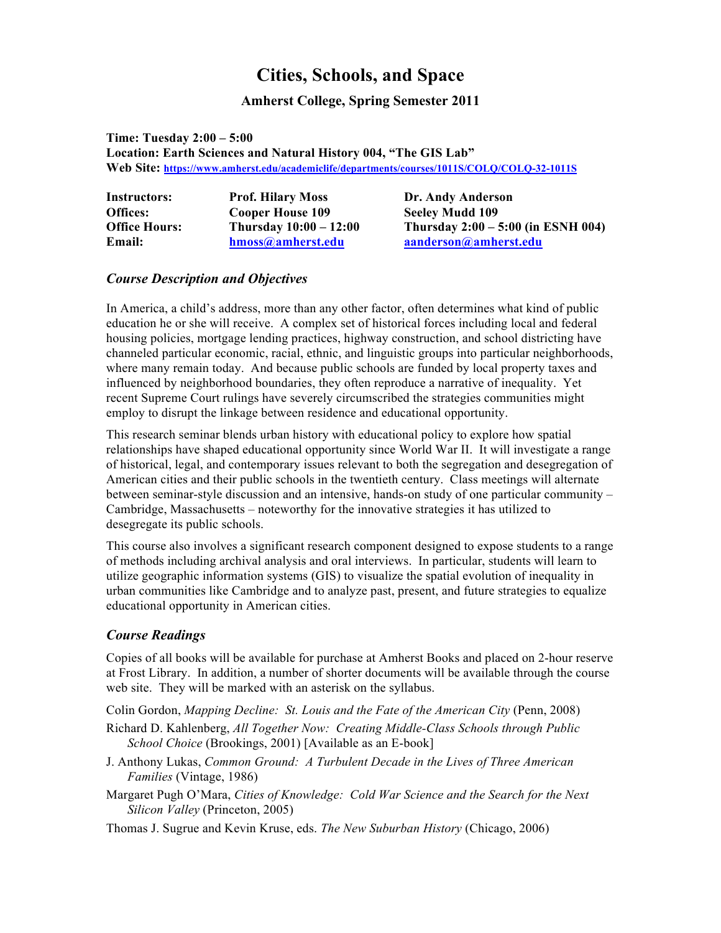# **Cities, Schools, and Space**

# **Amherst College, Spring Semester 2011**

**Time: Tuesday 2:00 – 5:00 Location: Earth Sciences and Natural History 004, "The GIS Lab" Web Site: https://www.amherst.edu/academiclife/departments/courses/1011S/COLQ/COLQ-32-1011S**

| <b>Instructors:</b>  | <b>Prof. Hilary Moss</b> | Dr. Andy Anderson                    |
|----------------------|--------------------------|--------------------------------------|
| Offices:             | Cooper House 109         | <b>Seeley Mudd 109</b>               |
| <b>Office Hours:</b> | Thursday $10:00 - 12:00$ | Thursday $2:00 - 5:00$ (in ESNH 004) |
| Email:               | hmoss@amherst.edu        | aanderson@amherst.edu                |

## *Course Description and Objectives*

In America, a child's address, more than any other factor, often determines what kind of public education he or she will receive. A complex set of historical forces including local and federal housing policies, mortgage lending practices, highway construction, and school districting have channeled particular economic, racial, ethnic, and linguistic groups into particular neighborhoods, where many remain today. And because public schools are funded by local property taxes and influenced by neighborhood boundaries, they often reproduce a narrative of inequality. Yet recent Supreme Court rulings have severely circumscribed the strategies communities might employ to disrupt the linkage between residence and educational opportunity.

This research seminar blends urban history with educational policy to explore how spatial relationships have shaped educational opportunity since World War II. It will investigate a range of historical, legal, and contemporary issues relevant to both the segregation and desegregation of American cities and their public schools in the twentieth century. Class meetings will alternate between seminar-style discussion and an intensive, hands-on study of one particular community – Cambridge, Massachusetts – noteworthy for the innovative strategies it has utilized to desegregate its public schools.

This course also involves a significant research component designed to expose students to a range of methods including archival analysis and oral interviews. In particular, students will learn to utilize geographic information systems (GIS) to visualize the spatial evolution of inequality in urban communities like Cambridge and to analyze past, present, and future strategies to equalize educational opportunity in American cities.

# *Course Readings*

Copies of all books will be available for purchase at Amherst Books and placed on 2-hour reserve at Frost Library. In addition, a number of shorter documents will be available through the course web site. They will be marked with an asterisk on the syllabus.

Colin Gordon, *Mapping Decline: St. Louis and the Fate of the American City* (Penn, 2008)

- Richard D. Kahlenberg, *All Together Now: Creating Middle-Class Schools through Public School Choice* (Brookings, 2001) [Available as an E-book]
- J. Anthony Lukas, *Common Ground: A Turbulent Decade in the Lives of Three American Families* (Vintage, 1986)
- Margaret Pugh O'Mara, *Cities of Knowledge: Cold War Science and the Search for the Next Silicon Valley* (Princeton, 2005)

Thomas J. Sugrue and Kevin Kruse, eds. *The New Suburban History* (Chicago, 2006)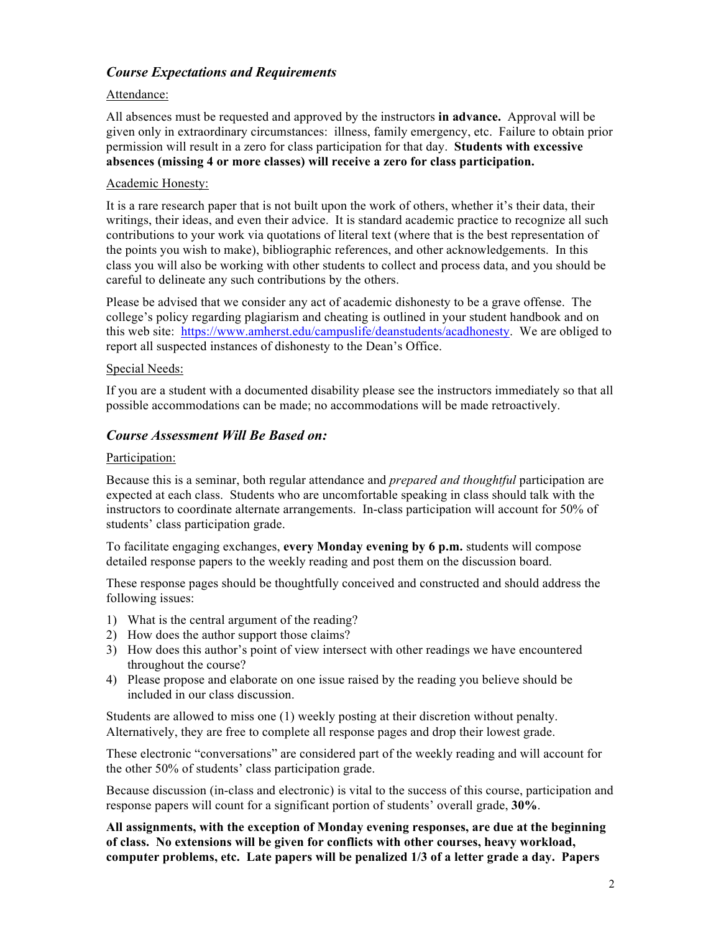# *Course Expectations and Requirements*

#### Attendance:

All absences must be requested and approved by the instructors **in advance.** Approval will be given only in extraordinary circumstances: illness, family emergency, etc. Failure to obtain prior permission will result in a zero for class participation for that day. **Students with excessive absences (missing 4 or more classes) will receive a zero for class participation.**

#### Academic Honesty:

It is a rare research paper that is not built upon the work of others, whether it's their data, their writings, their ideas, and even their advice. It is standard academic practice to recognize all such contributions to your work via quotations of literal text (where that is the best representation of the points you wish to make), bibliographic references, and other acknowledgements. In this class you will also be working with other students to collect and process data, and you should be careful to delineate any such contributions by the others.

Please be advised that we consider any act of academic dishonesty to be a grave offense. The college's policy regarding plagiarism and cheating is outlined in your student handbook and on this web site: https://www.amherst.edu/campuslife/deanstudents/acadhonesty. We are obliged to report all suspected instances of dishonesty to the Dean's Office.

#### Special Needs:

If you are a student with a documented disability please see the instructors immediately so that all possible accommodations can be made; no accommodations will be made retroactively.

### *Course Assessment Will Be Based on:*

#### Participation:

Because this is a seminar, both regular attendance and *prepared and thoughtful* participation are expected at each class. Students who are uncomfortable speaking in class should talk with the instructors to coordinate alternate arrangements. In-class participation will account for 50% of students' class participation grade.

To facilitate engaging exchanges, **every Monday evening by 6 p.m.** students will compose detailed response papers to the weekly reading and post them on the discussion board.

These response pages should be thoughtfully conceived and constructed and should address the following issues:

- 1) What is the central argument of the reading?
- 2) How does the author support those claims?
- 3) How does this author's point of view intersect with other readings we have encountered throughout the course?
- 4) Please propose and elaborate on one issue raised by the reading you believe should be included in our class discussion.

Students are allowed to miss one (1) weekly posting at their discretion without penalty. Alternatively, they are free to complete all response pages and drop their lowest grade.

These electronic "conversations" are considered part of the weekly reading and will account for the other 50% of students' class participation grade.

Because discussion (in-class and electronic) is vital to the success of this course, participation and response papers will count for a significant portion of students' overall grade, **30%**.

**All assignments, with the exception of Monday evening responses, are due at the beginning of class. No extensions will be given for conflicts with other courses, heavy workload, computer problems, etc. Late papers will be penalized 1/3 of a letter grade a day. Papers**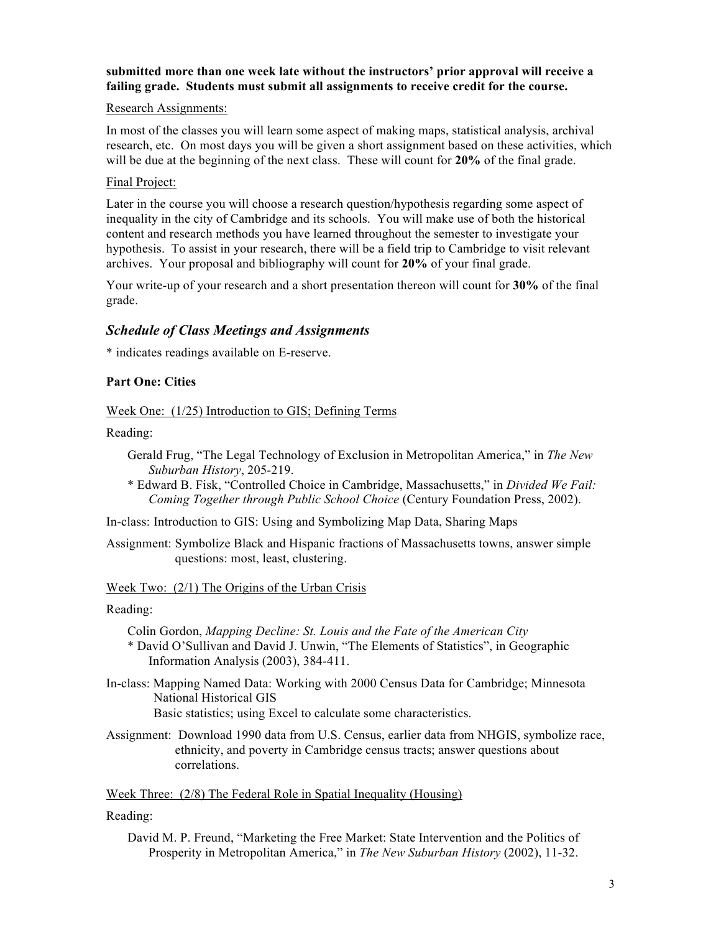# **submitted more than one week late without the instructors' prior approval will receive a failing grade. Students must submit all assignments to receive credit for the course.**

#### Research Assignments:

In most of the classes you will learn some aspect of making maps, statistical analysis, archival research, etc. On most days you will be given a short assignment based on these activities, which will be due at the beginning of the next class. These will count for **20%** of the final grade.

#### Final Project:

Later in the course you will choose a research question/hypothesis regarding some aspect of inequality in the city of Cambridge and its schools. You will make use of both the historical content and research methods you have learned throughout the semester to investigate your hypothesis. To assist in your research, there will be a field trip to Cambridge to visit relevant archives. Your proposal and bibliography will count for **20%** of your final grade.

Your write-up of your research and a short presentation thereon will count for **30%** of the final grade.

## *Schedule of Class Meetings and Assignments*

\* indicates readings available on E-reserve.

#### **Part One: Cities**

Week One: (1/25) Introduction to GIS; Defining Terms

Reading:

- Gerald Frug, "The Legal Technology of Exclusion in Metropolitan America," in *The New Suburban History*, 205-219.
- \* Edward B. Fisk, "Controlled Choice in Cambridge, Massachusetts," in *Divided We Fail: Coming Together through Public School Choice* (Century Foundation Press, 2002).

In-class: Introduction to GIS: Using and Symbolizing Map Data, Sharing Maps

Assignment: Symbolize Black and Hispanic fractions of Massachusetts towns, answer simple questions: most, least, clustering.

#### Week Two: (2/1) The Origins of the Urban Crisis

#### Reading:

- Colin Gordon, *Mapping Decline: St. Louis and the Fate of the American City*
- \* David O'Sullivan and David J. Unwin, "The Elements of Statistics", in Geographic Information Analysis (2003), 384-411.
- In-class: Mapping Named Data: Working with 2000 Census Data for Cambridge; Minnesota National Historical GIS Basic statistics; using Excel to calculate some characteristics.
- Assignment: Download 1990 data from U.S. Census, earlier data from NHGIS, symbolize race, ethnicity, and poverty in Cambridge census tracts; answer questions about correlations.

Week Three: (2/8) The Federal Role in Spatial Inequality (Housing)

Reading:

David M. P. Freund, "Marketing the Free Market: State Intervention and the Politics of Prosperity in Metropolitan America," in *The New Suburban History* (2002), 11-32.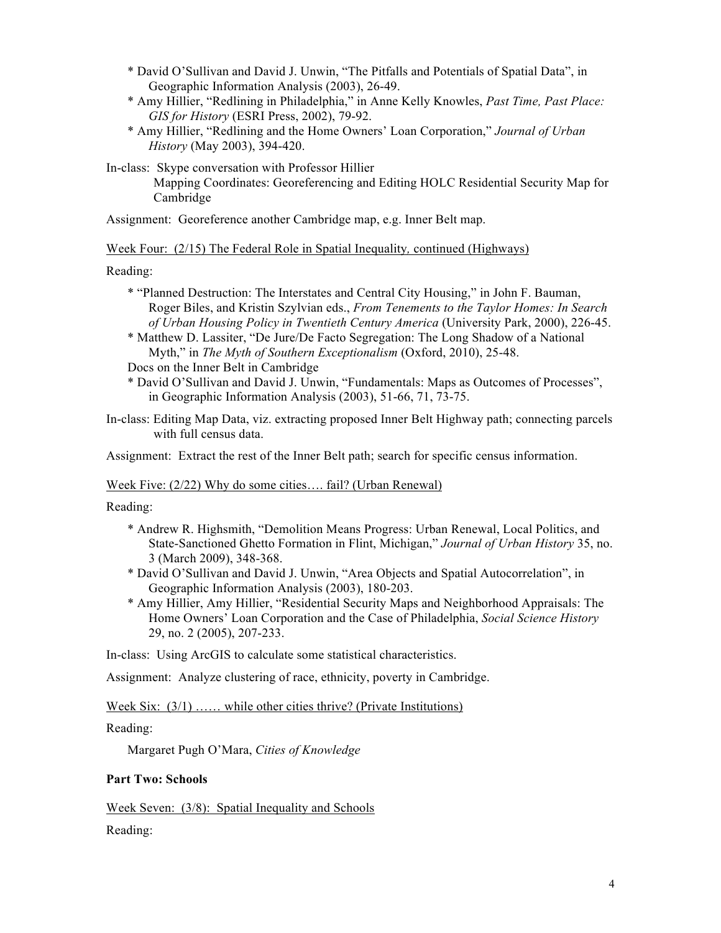- \* David O'Sullivan and David J. Unwin, "The Pitfalls and Potentials of Spatial Data", in Geographic Information Analysis (2003), 26-49.
- \* Amy Hillier, "Redlining in Philadelphia," in Anne Kelly Knowles, *Past Time, Past Place: GIS for History* (ESRI Press, 2002), 79-92.
- \* Amy Hillier, "Redlining and the Home Owners' Loan Corporation," *Journal of Urban History* (May 2003), 394-420.

In-class: Skype conversation with Professor Hillier

Mapping Coordinates: Georeferencing and Editing HOLC Residential Security Map for Cambridge

Assignment: Georeference another Cambridge map, e.g. Inner Belt map.

Week Four: (2/15) The Federal Role in Spatial Inequality*,* continued (Highways)

Reading:

- \* "Planned Destruction: The Interstates and Central City Housing," in John F. Bauman, Roger Biles, and Kristin Szylvian eds., *From Tenements to the Taylor Homes: In Search of Urban Housing Policy in Twentieth Century America* (University Park, 2000), 226-45.
- \* Matthew D. Lassiter, "De Jure/De Facto Segregation: The Long Shadow of a National Myth," in *The Myth of Southern Exceptionalism* (Oxford, 2010), 25-48.

Docs on the Inner Belt in Cambridge

\* David O'Sullivan and David J. Unwin, "Fundamentals: Maps as Outcomes of Processes", in Geographic Information Analysis (2003), 51-66, 71, 73-75.

In-class: Editing Map Data, viz. extracting proposed Inner Belt Highway path; connecting parcels with full census data.

Assignment: Extract the rest of the Inner Belt path; search for specific census information.

## Week Five: (2/22) Why do some cities.... fail? (Urban Renewal)

Reading:

- \* Andrew R. Highsmith, "Demolition Means Progress: Urban Renewal, Local Politics, and State-Sanctioned Ghetto Formation in Flint, Michigan," *Journal of Urban History* 35, no. 3 (March 2009), 348-368.
- \* David O'Sullivan and David J. Unwin, "Area Objects and Spatial Autocorrelation", in Geographic Information Analysis (2003), 180-203.
- \* Amy Hillier, Amy Hillier, "Residential Security Maps and Neighborhood Appraisals: The Home Owners' Loan Corporation and the Case of Philadelphia, *Social Science History*  29, no. 2 (2005), 207-233.

In-class: Using ArcGIS to calculate some statistical characteristics.

Assignment: Analyze clustering of race, ethnicity, poverty in Cambridge.

Week Six:  $(3/1)$  ...... while other cities thrive? (Private Institutions)

Reading:

Margaret Pugh O'Mara, *Cities of Knowledge*

#### **Part Two: Schools**

Week Seven: (3/8): Spatial Inequality and Schools

Reading: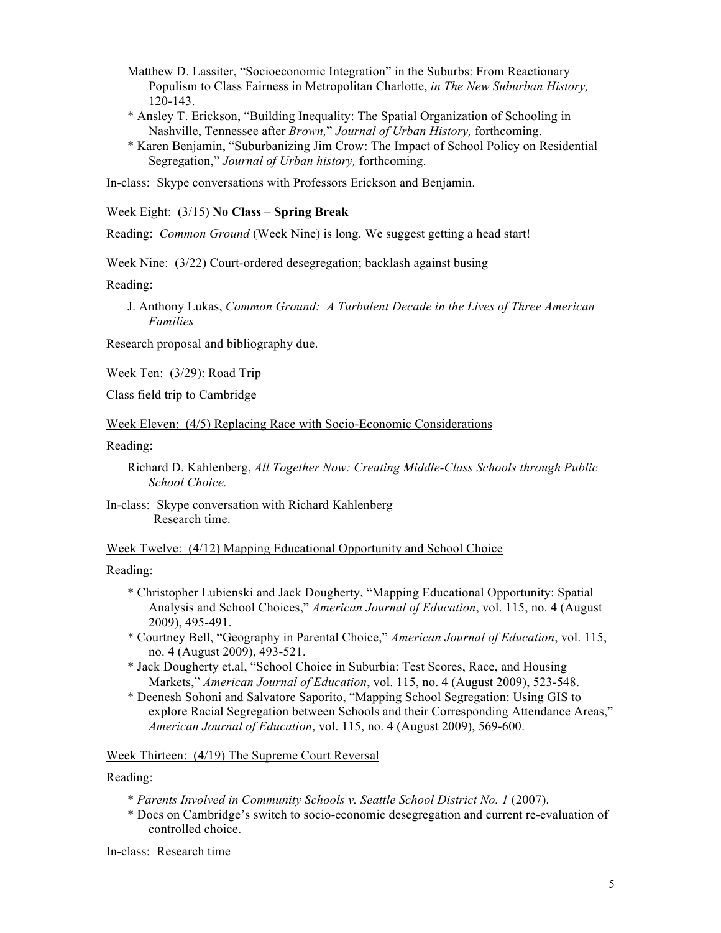- Matthew D. Lassiter, "Socioeconomic Integration" in the Suburbs: From Reactionary Populism to Class Fairness in Metropolitan Charlotte, *in The New Suburban History,*  120-143.
- \* Ansley T. Erickson, "Building Inequality: The Spatial Organization of Schooling in Nashville, Tennessee after *Brown,*" *Journal of Urban History,* forthcoming.
- \* Karen Benjamin, "Suburbanizing Jim Crow: The Impact of School Policy on Residential Segregation," *Journal of Urban history,* forthcoming.

In-class: Skype conversations with Professors Erickson and Benjamin.

#### Week Eight: (3/15) **No Class – Spring Break**

Reading: *Common Ground* (Week Nine) is long. We suggest getting a head start!

#### Week Nine: (3/22) Court-ordered desegregation; backlash against busing

Reading:

J. Anthony Lukas, *Common Ground: A Turbulent Decade in the Lives of Three American Families*

Research proposal and bibliography due.

Week Ten: (3/29): Road Trip

Class field trip to Cambridge

Week Eleven: (4/5) Replacing Race with Socio-Economic Considerations

Reading:

Richard D. Kahlenberg, *All Together Now: Creating Middle-Class Schools through Public School Choice.*

In-class: Skype conversation with Richard Kahlenberg Research time.

#### Week Twelve: (4/12) Mapping Educational Opportunity and School Choice

Reading:

- \* Christopher Lubienski and Jack Dougherty, "Mapping Educational Opportunity: Spatial Analysis and School Choices," *American Journal of Education*, vol. 115, no. 4 (August 2009), 495-491.
- \* Courtney Bell, "Geography in Parental Choice," *American Journal of Education*, vol. 115, no. 4 (August 2009), 493-521.
- \* Jack Dougherty et.al, "School Choice in Suburbia: Test Scores, Race, and Housing Markets," *American Journal of Education*, vol. 115, no. 4 (August 2009), 523-548.
- \* Deenesh Sohoni and Salvatore Saporito, "Mapping School Segregation: Using GIS to explore Racial Segregation between Schools and their Corresponding Attendance Areas," *American Journal of Education*, vol. 115, no. 4 (August 2009), 569-600.

#### Week Thirteen: (4/19) The Supreme Court Reversal

Reading:

- \* *Parents Involved in Community Schools v. Seattle School District No. 1* (2007).
- \* Docs on Cambridge's switch to socio-economic desegregation and current re-evaluation of controlled choice.

In-class: Research time